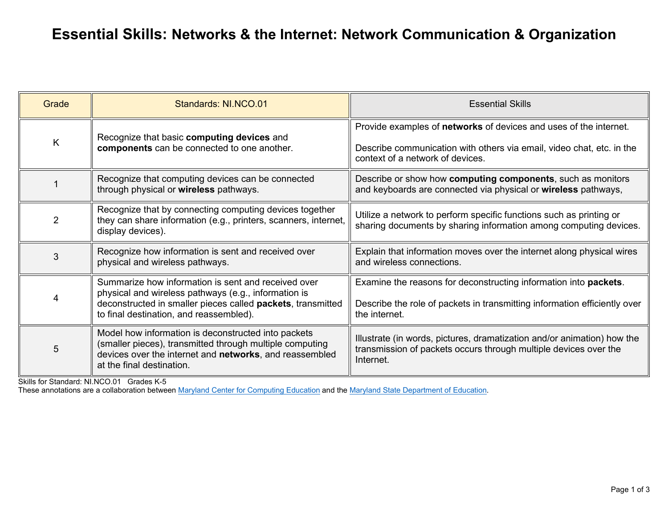## **Essential Skills: Networks & the Internet: Network Communication & Organization**

| Grade | Standards: NI.NCO.01                                                                                                                                                                                                  | <b>Essential Skills</b>                                                                                                                                                               |
|-------|-----------------------------------------------------------------------------------------------------------------------------------------------------------------------------------------------------------------------|---------------------------------------------------------------------------------------------------------------------------------------------------------------------------------------|
| K     | Recognize that basic computing devices and<br>components can be connected to one another.                                                                                                                             | Provide examples of <b>networks</b> of devices and uses of the internet.<br>Describe communication with others via email, video chat, etc. in the<br>context of a network of devices. |
|       | Recognize that computing devices can be connected<br>through physical or wireless pathways.                                                                                                                           | Describe or show how computing components, such as monitors<br>and keyboards are connected via physical or wireless pathways,                                                         |
| 2     | Recognize that by connecting computing devices together<br>they can share information (e.g., printers, scanners, internet,<br>display devices).                                                                       | Utilize a network to perform specific functions such as printing or<br>sharing documents by sharing information among computing devices.                                              |
| 3     | Recognize how information is sent and received over<br>physical and wireless pathways.                                                                                                                                | Explain that information moves over the internet along physical wires<br>and wireless connections.                                                                                    |
| 4     | Summarize how information is sent and received over<br>physical and wireless pathways (e.g., information is<br>deconstructed in smaller pieces called packets, transmitted<br>to final destination, and reassembled). | Examine the reasons for deconstructing information into packets.<br>Describe the role of packets in transmitting information efficiently over<br>the internet.                        |
| 5     | Model how information is deconstructed into packets<br>(smaller pieces), transmitted through multiple computing<br>devices over the internet and networks, and reassembled<br>at the final destination.               | Illustrate (in words, pictures, dramatization and/or animation) how the<br>transmission of packets occurs through multiple devices over the<br>Internet.                              |

Skills for Standard: NI.NCO.01 Grades K-5

These annotations are a collaboration between [Maryland Center for Computing Education](https://cs4md.com/) and the [Maryland State Department of Education.](http://marylandpublicschools.org/programs/Pages/CTE/ComputerScience/CS.aspx)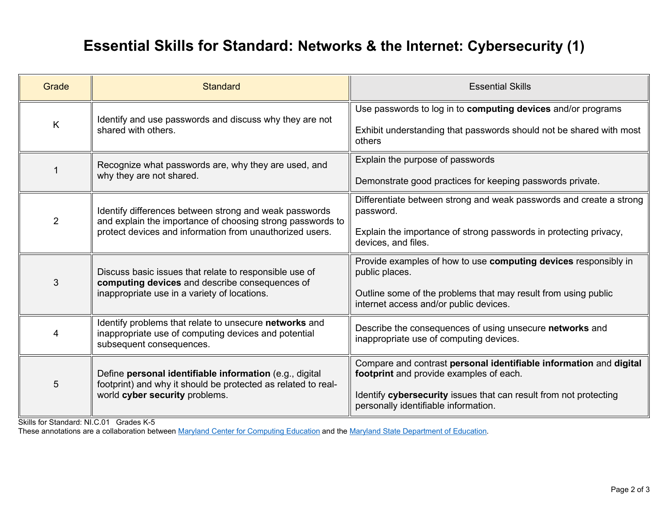## **Essential Skills for Standard: Networks & the Internet: Cybersecurity (1)**

| Grade          | <b>Standard</b>                                                                                                                                                                  | <b>Essential Skills</b>                                                                                                                                                                                                    |
|----------------|----------------------------------------------------------------------------------------------------------------------------------------------------------------------------------|----------------------------------------------------------------------------------------------------------------------------------------------------------------------------------------------------------------------------|
| K              | Identify and use passwords and discuss why they are not<br>shared with others.                                                                                                   | Use passwords to log in to computing devices and/or programs<br>Exhibit understanding that passwords should not be shared with most<br>others                                                                              |
|                | Recognize what passwords are, why they are used, and<br>why they are not shared.                                                                                                 | Explain the purpose of passwords<br>Demonstrate good practices for keeping passwords private.                                                                                                                              |
| $\overline{2}$ | Identify differences between strong and weak passwords<br>and explain the importance of choosing strong passwords to<br>protect devices and information from unauthorized users. | Differentiate between strong and weak passwords and create a strong<br>password.<br>Explain the importance of strong passwords in protecting privacy,<br>devices, and files.                                               |
| 3              | Discuss basic issues that relate to responsible use of<br>computing devices and describe consequences of<br>inappropriate use in a variety of locations.                         | Provide examples of how to use computing devices responsibly in<br>public places.<br>Outline some of the problems that may result from using public<br>internet access and/or public devices.                              |
| 4              | Identify problems that relate to unsecure networks and<br>inappropriate use of computing devices and potential<br>subsequent consequences.                                       | Describe the consequences of using unsecure networks and<br>inappropriate use of computing devices.                                                                                                                        |
| 5              | Define personal identifiable information (e.g., digital<br>footprint) and why it should be protected as related to real-<br>world cyber security problems.                       | Compare and contrast personal identifiable information and digital<br>footprint and provide examples of each.<br>Identify cybersecurity issues that can result from not protecting<br>personally identifiable information. |

Skills for Standard: NI.C.01 Grades K-5

These annotations are a collaboration between [Maryland Center for Computing Education](https://cs4md.com/) and the [Maryland State Department of Education.](http://marylandpublicschools.org/programs/Pages/CTE/ComputerScience/CS.aspx)